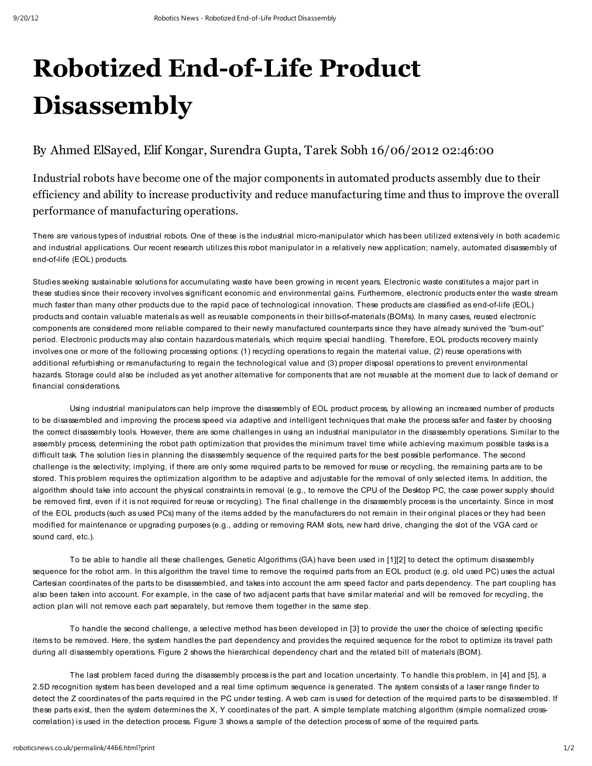## Robotized End-of-Life Product **Disassembly**

## By Ahmed ElSayed, Elif Kongar, Surendra Gupta, Tarek Sobh 16/06/2012 02:46:00

Industrial robots have become one of the major components in automated products assembly due to their efficiency and ability to increase productivity and reduce manufacturing time and thus to improve the overall performance of manufacturing operations.

There are various typesof industrial robots. One of these is the industrial micro-manipulator which hasbeen utilized extensively in both academic and industrial applications. Our recent research utilizes this robot manipulator in a relatively new application; namely, automated disassembly of end-of-life (EOL) products.

Studies seeking sustainable solutions for accumulating waste have been growing in recent years. Electronic waste constitutesa major part in these studies since their recovery involves significant economic and environmental gains. Furthermore, electronic productsenter the waste stream much faster than many other products due to the rapid pace of technological innovation. These products are classified as end-of-life (EOL) products and contain valuable materials as well as reusable components in their bills-of-materials (BOMs). In many cases, reused electronic componentsare considered more reliable compared to their newly manufactured counterparts since they have already survived the "burn-out" period. Electronic products may also contain hazardous materials, which require special handling. Therefore, EOL products recovery mainly involvesone or more of the following processing options: (1) recycling operations to regain the material value, (2) reuse operations with additional refurbishing or remanufacturing to regain the technological value and (3) proper disposal operations to prevent environmental hazards. Storage could also be included as yet another alternative for components that are not reusable at the moment due to lackof demand or financial considerations.

Using industrial manipulators can help improve the disassembly of EOL product process, by allowing an increased number of products to be disassembled and improving the process speed via adaptive and intelligent techniques that make the process safer and faster by choosing the correct disassembly tools. However, there are some challenges in using an industrial manipulator in the disassembly operations. Similar to the assembly process, determining the robot path optimization that provides the minimum travel time while achieving maximum possible tasks is a difficult task. The solution lies in planning the disassembly sequence of the required parts for the best possible performance. The second challenge is the selectivity; implying, if there are only some required parts to be removed for reuse or recycling, the remaining partsare to be stored. Thisproblem requires the optimization algorithm to be adaptive and adjustable for the removal of only selected items. In addition, the algorithm should take into account the physical constraints in removal (e.g., to remove the CPU of the Desktop PC, the case power supply should be removed first, even if it is not required for reuse or recycling). The final challenge in the disassembly process is the uncertainty. Since in most of the EOL products (such asused PCs) many of the itemsadded by the manufacturersdo not remain in their original placesor they had been modified for maintenance or upgrading purposes (e.g., adding or removing RAM slots, new hard drive, changing the slot of the VGA card or sound card, etc.).

To be able to handle all these challenges, Genetic Algorithms (GA) have been used in [1][2] to detect the optimum disassembly sequence for the robot arm. In thisalgorithm the travel time to remove the required parts from an EOL product (e.g. old used PC) uses the actual Cartesian coordinatesof the parts to be disassembled, and takes into account the arm speed factor and partsdependency. The part coupling has also been taken into account. For example, in the case of two adjacent parts that have similar material and will be removed for recycling, the action plan will not remove each part separately, but remove them together in the same step.

To handle the second challenge, a selective method hasbeen developed in [3] to provide the user the choice of selecting specific items to be removed. Here, the system handles the part dependency and provides the required sequence for the robot to optimize its travel path during all disassembly operations. Figure 2 shows the hierarchical dependency chart and the related bill of materials (BOM).

The last problem faced during the disassembly process is the part and location uncertainty. To handle thisproblem, in [4] and [5], a 2.5D recognition system hasbeen developed and a real time optimum sequence isgenerated. The system consistsof a laser range finder to detect the Z coordinatesof the parts required in the PC under testing. A web cam isused for detection of the required parts to be disassembled. If these parts exist, then the system determines the X, Y coordinates of the part. A simple template matching algorithm (simple normalized crosscorrelation) isused in the detection process. Figure 3 showsa sample of the detection processof some of the required parts.